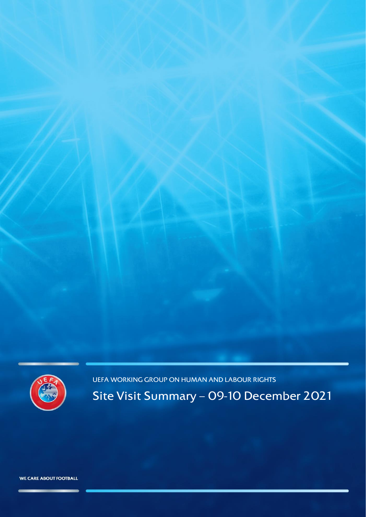

UEFA WORKING GROUP ON HUMAN AND LABOUR RIGHTS

Site Visit Summary – 09-10 December 2021

WE CARE ABOUT FOOTBALL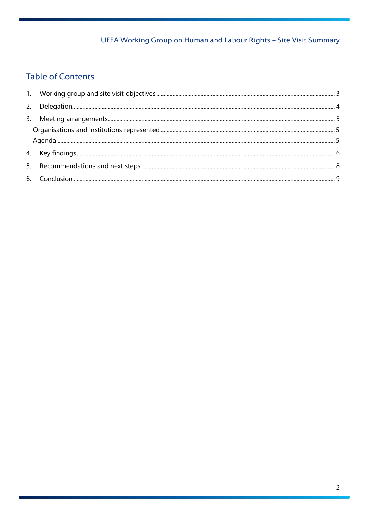# **Table of Contents**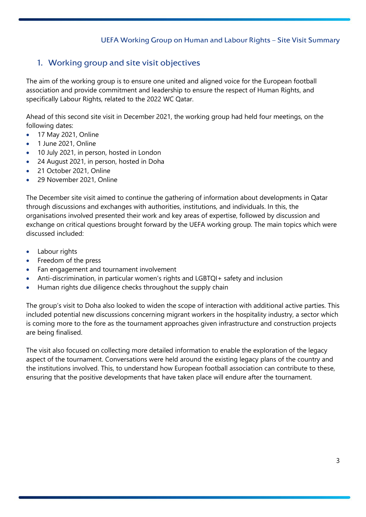# <span id="page-2-0"></span>1. Working group and site visit objectives

The aim of the working group is to ensure one united and aligned voice for the European football association and provide commitment and leadership to ensure the respect of Human Rights, and specifically Labour Rights, related to the 2022 WC Qatar.

Ahead of this second site visit in December 2021, the working group had held four meetings, on the following dates:

- 17 May 2021, Online
- 1 June 2021, Online
- 10 July 2021, in person, hosted in London
- 24 August 2021, in person, hosted in Doha
- 21 October 2021, Online
- 29 November 2021, Online

The December site visit aimed to continue the gathering of information about developments in Qatar through discussions and exchanges with authorities, institutions, and individuals. In this, the organisations involved presented their work and key areas of expertise, followed by discussion and exchange on critical questions brought forward by the UEFA working group. The main topics which were discussed included:

- Labour rights
- Freedom of the press
- Fan engagement and tournament involvement
- Anti-discrimination, in particular women's rights and LGBTQI+ safety and inclusion
- Human rights due diligence checks throughout the supply chain

The group's visit to Doha also looked to widen the scope of interaction with additional active parties. This included potential new discussions concerning migrant workers in the hospitality industry, a sector which is coming more to the fore as the tournament approaches given infrastructure and construction projects are being finalised.

The visit also focused on collecting more detailed information to enable the exploration of the legacy aspect of the tournament. Conversations were held around the existing legacy plans of the country and the institutions involved. This, to understand how European football association can contribute to these, ensuring that the positive developments that have taken place will endure after the tournament.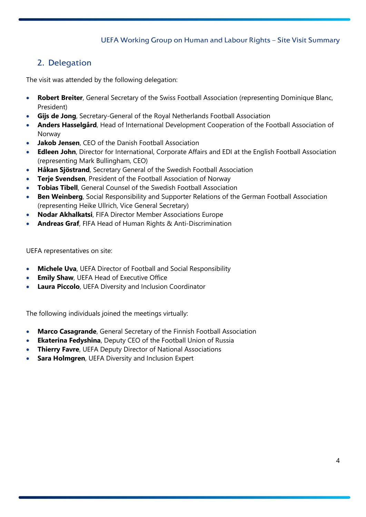# <span id="page-3-0"></span>2. Delegation

The visit was attended by the following delegation:

- **Robert Breiter**, General Secretary of the Swiss Football Association (representing Dominique Blanc, President)
- **Gijs de Jong**, Secretary-General of the Royal Netherlands Football Association
- **Anders Hasselgård**, Head of International Development Cooperation of the Football Association of Norway
- **Jakob Jensen**, CEO of the Danish Football Association
- **Edleen John**, Director for International, Corporate Affairs and EDI at the English Football Association (representing Mark Bullingham, CEO)
- **Håkan Sjöstrand**, Secretary General of the Swedish Football Association
- **Terje Svendsen**, President of the Football Association of Norway
- **Tobias Tibell**, General Counsel of the Swedish Football Association
- **Ben Weinberg**, Social Responsibility and Supporter Relations of the German Football Association (representing Heike Ullrich, Vice General Secretary)
- **Nodar Akhalkatsi**, FIFA Director Member Associations Europe
- **Andreas Graf**, FIFA Head of Human Rights & Anti-Discrimination

UEFA representatives on site:

- **Michele Uva**, UEFA Director of Football and Social Responsibility
- **Emily Shaw**, UEFA Head of Executive Office
- **Laura Piccolo**, UEFA Diversity and Inclusion Coordinator

The following individuals joined the meetings virtually:

- **Marco Casagrande**, General Secretary of the Finnish Football Association
- **Ekaterina Fedyshina**, Deputy CEO of the Football Union of Russia
- **Thierry Favre**, UEFA Deputy Director of National Associations
- **Sara Holmgren**, UEFA Diversity and Inclusion Expert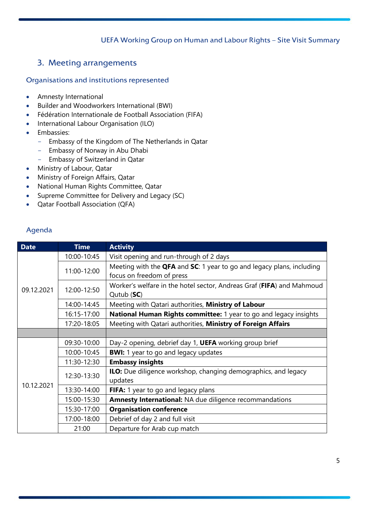# <span id="page-4-0"></span>3. Meeting arrangements

### <span id="page-4-1"></span>Organisations and institutions represented

- Amnesty International
- Builder and Woodworkers International (BWI)
- Fédération Internationale de Football Association (FIFA)
- International Labour Organisation (ILO)
- Embassies:
	- Embassy of the Kingdom of The Netherlands in Qatar
	- Embassy of Norway in Abu Dhabi
	- Embassy of Switzerland in Qatar
- Ministry of Labour, Qatar
- Ministry of Foreign Affairs, Qatar
- National Human Rights Committee, Qatar
- Supreme Committee for Delivery and Legacy (SC)
- Qatar Football Association (QFA)

### <span id="page-4-2"></span>Agenda

| <b>Date</b> | <b>Time</b> | <b>Activity</b>                                                                      |
|-------------|-------------|--------------------------------------------------------------------------------------|
| 09.12.2021  | 10:00-10:45 | Visit opening and run-through of 2 days                                              |
|             | 11:00-12:00 | Meeting with the <b>QFA</b> and <b>SC</b> : 1 year to go and legacy plans, including |
|             |             | focus on freedom of press                                                            |
|             | 12:00-12:50 | Worker's welfare in the hotel sector, Andreas Graf (FIFA) and Mahmoud                |
|             |             | Qutub (SC)                                                                           |
|             | 14:00-14:45 | Meeting with Qatari authorities, Ministry of Labour                                  |
|             | 16:15-17:00 | National Human Rights committee: 1 year to go and legacy insights                    |
|             | 17:20-18:05 | Meeting with Qatari authorities, Ministry of Foreign Affairs                         |
|             |             |                                                                                      |
| 10.12.2021  | 09:30-10:00 | Day-2 opening, debrief day 1, UEFA working group brief                               |
|             | 10:00-10:45 | <b>BWI:</b> 1 year to go and legacy updates                                          |
|             | 11:30-12:30 | <b>Embassy insights</b>                                                              |
|             | 12:30-13:30 | <b>ILO:</b> Due diligence workshop, changing demographics, and legacy                |
|             |             | updates                                                                              |
|             | 13:30-14:00 | FIFA: 1 year to go and legacy plans                                                  |
|             | 15:00-15:30 | Amnesty International: NA due diligence recommandations                              |
|             | 15:30-17:00 | <b>Organisation conference</b>                                                       |
|             | 17:00-18:00 | Debrief of day 2 and full visit                                                      |
|             | 21:00       | Departure for Arab cup match                                                         |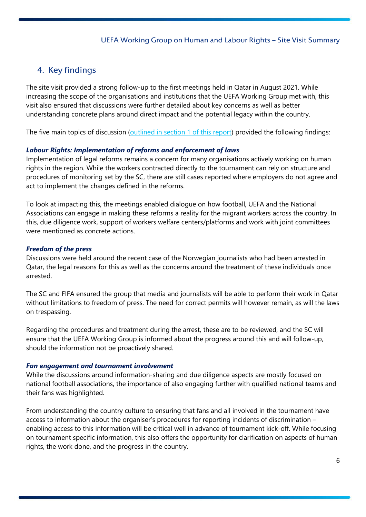# <span id="page-5-0"></span>4. Key findings

The site visit provided a strong follow-up to the first meetings held in Qatar in August 2021. While increasing the scope of the organisations and institutions that the UEFA Working Group met with, this visit also ensured that discussions were further detailed about key concerns as well as better understanding concrete plans around direct impact and the potential legacy within the country.

The five main topics of discussion [\(outlined in section 1 of this report\)](#page-2-0) provided the following findings:

#### *Labour Rights: Implementation of reforms and enforcement of laws*

Implementation of legal reforms remains a concern for many organisations actively working on human rights in the region. While the workers contracted directly to the tournament can rely on structure and procedures of monitoring set by the SC, there are still cases reported where employers do not agree and act to implement the changes defined in the reforms.

To look at impacting this, the meetings enabled dialogue on how football, UEFA and the National Associations can engage in making these reforms a reality for the migrant workers across the country. In this, due diligence work, support of workers welfare centers/platforms and work with joint committees were mentioned as concrete actions.

#### *Freedom of the press*

Discussions were held around the recent case of the Norwegian journalists who had been arrested in Qatar, the legal reasons for this as well as the concerns around the treatment of these individuals once arrested.

The SC and FIFA ensured the group that media and journalists will be able to perform their work in Qatar without limitations to freedom of press. The need for correct permits will however remain, as will the laws on trespassing.

Regarding the procedures and treatment during the arrest, these are to be reviewed, and the SC will ensure that the UEFA Working Group is informed about the progress around this and will follow-up, should the information not be proactively shared.

#### *Fan engagement and tournament involvement*

While the discussions around information-sharing and due diligence aspects are mostly focused on national football associations, the importance of also engaging further with qualified national teams and their fans was highlighted.

From understanding the country culture to ensuring that fans and all involved in the tournament have access to information about the organiser's procedures for reporting incidents of discrimination – enabling access to this information will be critical well in advance of tournament kick-off. While focusing on tournament specific information, this also offers the opportunity for clarification on aspects of human rights, the work done, and the progress in the country.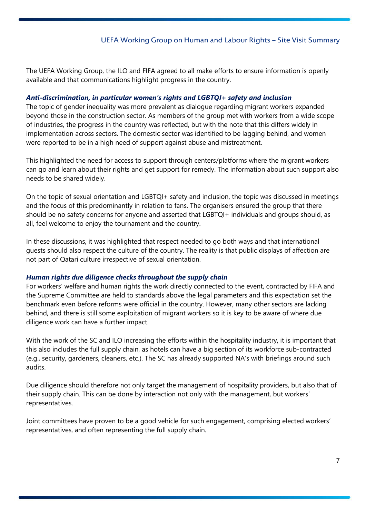The UEFA Working Group, the ILO and FIFA agreed to all make efforts to ensure information is openly available and that communications highlight progress in the country.

#### *Anti-discrimination, in particular women's rights and LGBTQI+ safety and inclusion*

The topic of gender inequality was more prevalent as dialogue regarding migrant workers expanded beyond those in the construction sector. As members of the group met with workers from a wide scope of industries, the progress in the country was reflected, but with the note that this differs widely in implementation across sectors. The domestic sector was identified to be lagging behind, and women were reported to be in a high need of support against abuse and mistreatment.

This highlighted the need for access to support through centers/platforms where the migrant workers can go and learn about their rights and get support for remedy. The information about such support also needs to be shared widely.

On the topic of sexual orientation and LGBTQI+ safety and inclusion, the topic was discussed in meetings and the focus of this predominantly in relation to fans. The organisers ensured the group that there should be no safety concerns for anyone and asserted that LGBTQI+ individuals and groups should, as all, feel welcome to enjoy the tournament and the country.

In these discussions, it was highlighted that respect needed to go both ways and that international guests should also respect the culture of the country. The reality is that public displays of affection are not part of Qatari culture irrespective of sexual orientation.

#### *Human rights due diligence checks throughout the supply chain*

For workers' welfare and human rights the work directly connected to the event, contracted by FIFA and the Supreme Committee are held to standards above the legal parameters and this expectation set the benchmark even before reforms were official in the country. However, many other sectors are lacking behind, and there is still some exploitation of migrant workers so it is key to be aware of where due diligence work can have a further impact.

With the work of the SC and ILO increasing the efforts within the hospitality industry, it is important that this also includes the full supply chain, as hotels can have a big section of its workforce sub-contracted (e.g., security, gardeners, cleaners, etc.). The SC has already supported NA's with briefings around such audits.

Due diligence should therefore not only target the management of hospitality providers, but also that of their supply chain. This can be done by interaction not only with the management, but workers' representatives.

Joint committees have proven to be a good vehicle for such engagement, comprising elected workers' representatives, and often representing the full supply chain.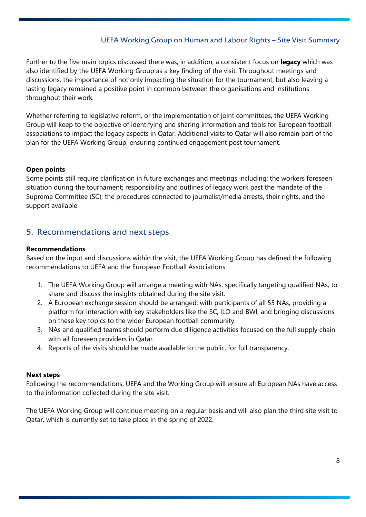Further to the five main topics discussed there was, in addition, a consistent focus on **legacy** which was also identified by the UEFA Working Group as a key finding of the visit. Throughout meetings and discussions, the importance of not only impacting the situation for the tournament, but also leaving a lasting legacy remained a positive point in common between the organisations and institutions throughout their work.

Whether referring to legislative reform, or the implementation of joint committees, the UEFA Working Group will keep to the objective of identifying and sharing information and tools for European football associations to impact the legacy aspects in Qatar. Additional visits to Qatar will also remain part of the plan for the UEFA Working Group, ensuring continued engagement post tournament.

#### **Open points**

Some points still require clarification in future exchanges and meetings including: the workers foreseen situation during the tournament; responsibility and outlines of legacy work past the mandate of the Supreme Committee (SC); the procedures connected to journalist/media arrests, their rights, and the support available.

## <span id="page-7-0"></span>5. Recommendations and next steps

#### **Recommendations**

Based on the input and discussions within the visit, the UEFA Working Group has defined the following recommendations to UEFA and the European Football Associations:

- 1. The UEFA Working Group will arrange a meeting with NAs, specifically targeting qualified NAs, to share and discuss the insights obtained during the site visit.
- 2. A European exchange session should be arranged, with participants of all 55 NAs, providing a platform for interaction with key stakeholders like the SC, ILO and BWI, and bringing discussions on these key topics to the wider European football community.
- 3. NAs and qualified teams should perform due diligence activities focused on the full supply chain with all foreseen providers in Qatar.
- 4. Reports of the visits should be made available to the public, for full transparency.

#### **Next steps**

Following the recommendations, UEFA and the Working Group will ensure all European NAs have access to the information collected during the site visit.

The UEFA Working Group will continue meeting on a regular basis and will also plan the third site visit to Qatar, which is currently set to take place in the spring of 2022.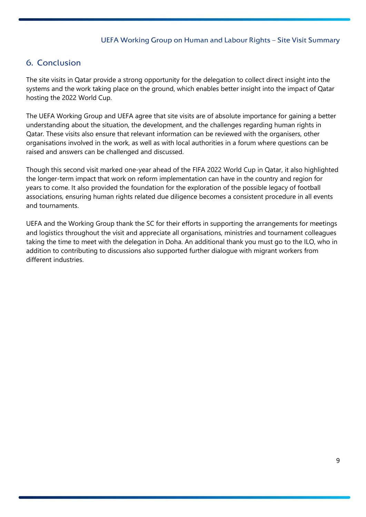# <span id="page-8-0"></span>6. Conclusion

The site visits in Qatar provide a strong opportunity for the delegation to collect direct insight into the systems and the work taking place on the ground, which enables better insight into the impact of Qatar hosting the 2022 World Cup.

The UEFA Working Group and UEFA agree that site visits are of absolute importance for gaining a better understanding about the situation, the development, and the challenges regarding human rights in Qatar. These visits also ensure that relevant information can be reviewed with the organisers, other organisations involved in the work, as well as with local authorities in a forum where questions can be raised and answers can be challenged and discussed.

Though this second visit marked one-year ahead of the FIFA 2022 World Cup in Qatar, it also highlighted the longer-term impact that work on reform implementation can have in the country and region for years to come. It also provided the foundation for the exploration of the possible legacy of football associations, ensuring human rights related due diligence becomes a consistent procedure in all events and tournaments.

UEFA and the Working Group thank the SC for their efforts in supporting the arrangements for meetings and logistics throughout the visit and appreciate all organisations, ministries and tournament colleagues taking the time to meet with the delegation in Doha. An additional thank you must go to the ILO, who in addition to contributing to discussions also supported further dialogue with migrant workers from different industries.